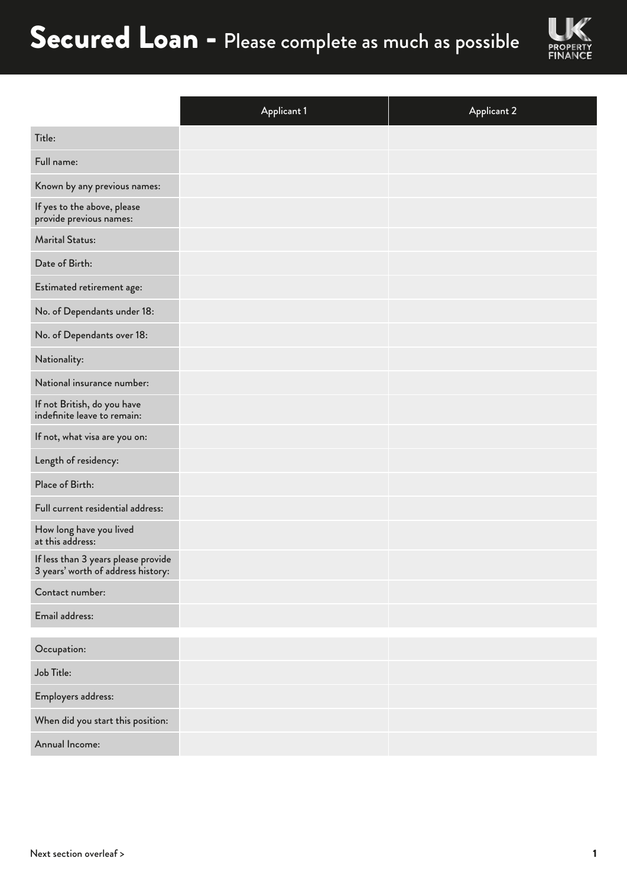

|                                                                           | <b>Applicant 1</b> | <b>Applicant 2</b> |
|---------------------------------------------------------------------------|--------------------|--------------------|
| Title:                                                                    |                    |                    |
| Full name:                                                                |                    |                    |
| Known by any previous names:                                              |                    |                    |
| If yes to the above, please<br>provide previous names:                    |                    |                    |
| <b>Marital Status:</b>                                                    |                    |                    |
| Date of Birth:                                                            |                    |                    |
| Estimated retirement age:                                                 |                    |                    |
| No. of Dependants under 18:                                               |                    |                    |
| No. of Dependants over 18:                                                |                    |                    |
| Nationality:                                                              |                    |                    |
| National insurance number:                                                |                    |                    |
| If not British, do you have<br>indefinite leave to remain:                |                    |                    |
| If not, what visa are you on:                                             |                    |                    |
| Length of residency:                                                      |                    |                    |
| Place of Birth:                                                           |                    |                    |
| Full current residential address:                                         |                    |                    |
| How long have you lived<br>at this address:                               |                    |                    |
| If less than 3 years please provide<br>3 years' worth of address history: |                    |                    |
| Contact number:                                                           |                    |                    |
| Email address:                                                            |                    |                    |
| Occupation:                                                               |                    |                    |
| Job Title:                                                                |                    |                    |
| Employers address:                                                        |                    |                    |
| When did you start this position:                                         |                    |                    |
| Annual Income:                                                            |                    |                    |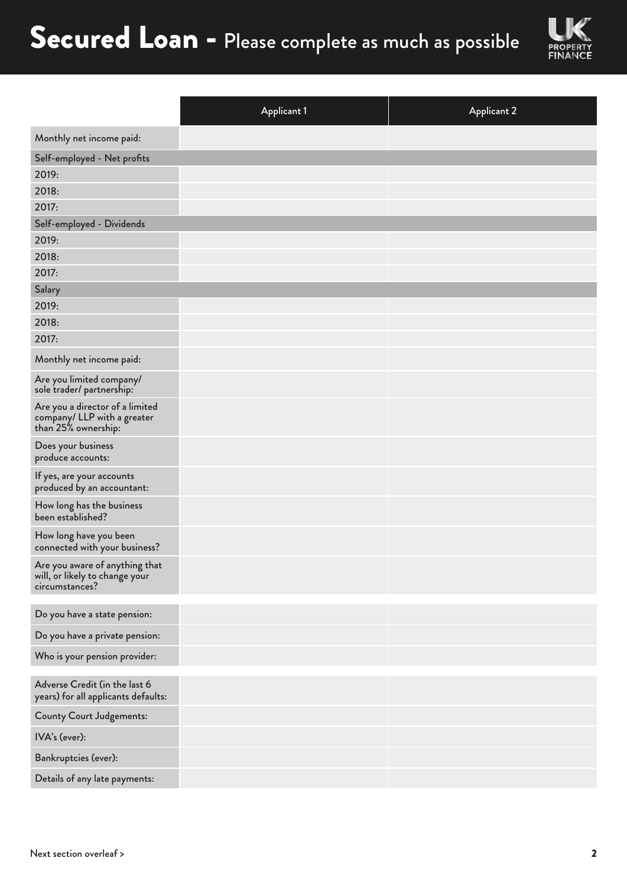

|                                                                                       | <b>Applicant 1</b> | <b>Applicant 2</b> |
|---------------------------------------------------------------------------------------|--------------------|--------------------|
| Monthly net income paid:                                                              |                    |                    |
| Self-employed - Net profits                                                           |                    |                    |
| 2019:                                                                                 |                    |                    |
| 2018:                                                                                 |                    |                    |
| 2017:                                                                                 |                    |                    |
| Self-employed - Dividends                                                             |                    |                    |
| 2019:                                                                                 |                    |                    |
| 2018:                                                                                 |                    |                    |
| 2017:                                                                                 |                    |                    |
| Salary                                                                                |                    |                    |
| 2019:                                                                                 |                    |                    |
| 2018:                                                                                 |                    |                    |
| 2017:                                                                                 |                    |                    |
| Monthly net income paid:                                                              |                    |                    |
| Are you limited company/<br>sole trader/ partnership:                                 |                    |                    |
| Are you a director of a limited<br>company/ LLP with a greater<br>than 25% ownership: |                    |                    |
| Does your business<br>produce accounts:                                               |                    |                    |
| If yes, are your accounts<br>produced by an accountant:                               |                    |                    |
| How long has the business<br>been established?                                        |                    |                    |
| How long have you been<br>connected with your business?                               |                    |                    |
| Are you aware of anything that<br>will, or likely to change your<br>circumstances?    |                    |                    |
| Do you have a state pension:                                                          |                    |                    |
| Do you have a private pension:                                                        |                    |                    |
| Who is your pension provider:                                                         |                    |                    |
| Adverse Credit (in the last 6<br>years) for all applicants defaults:                  |                    |                    |
| <b>County Court Judgements:</b>                                                       |                    |                    |
| IVA's (ever):                                                                         |                    |                    |
| Bankruptcies (ever):                                                                  |                    |                    |
| Details of any late payments:                                                         |                    |                    |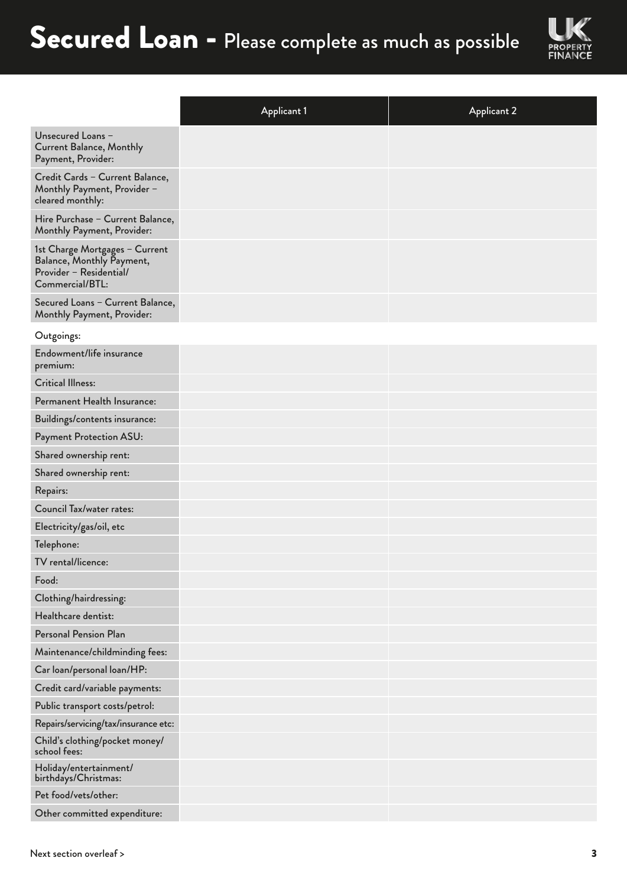

|                                                                                                           | <b>Applicant 1</b> | <b>Applicant 2</b> |
|-----------------------------------------------------------------------------------------------------------|--------------------|--------------------|
| Unsecured Loans -<br><b>Current Balance, Monthly</b><br>Payment, Provider:                                |                    |                    |
| Credit Cards - Current Balance,<br>Monthly Payment, Provider -<br>cleared monthly:                        |                    |                    |
| Hire Purchase - Current Balance,<br>Monthly Payment, Provider:                                            |                    |                    |
| 1st Charge Mortgages - Current<br>Balance, Monthly Payment,<br>Provider - Residential/<br>Commercial/BTL: |                    |                    |
| Secured Loans - Current Balance,<br>Monthly Payment, Provider:                                            |                    |                    |
| Outgoings:                                                                                                |                    |                    |
| Endowment/life insurance<br>premium:                                                                      |                    |                    |
| <b>Critical Illness:</b>                                                                                  |                    |                    |
| Permanent Health Insurance:                                                                               |                    |                    |
| Buildings/contents insurance:                                                                             |                    |                    |
| Payment Protection ASU:                                                                                   |                    |                    |
| Shared ownership rent:                                                                                    |                    |                    |
| Shared ownership rent:                                                                                    |                    |                    |
| Repairs:                                                                                                  |                    |                    |
| <b>Council Tax/water rates:</b>                                                                           |                    |                    |
| Electricity/gas/oil, etc                                                                                  |                    |                    |
| Telephone:                                                                                                |                    |                    |
| TV rental/licence:                                                                                        |                    |                    |
| Food:                                                                                                     |                    |                    |
| Clothing/hairdressing:                                                                                    |                    |                    |
| Healthcare dentist:                                                                                       |                    |                    |
| <b>Personal Pension Plan</b>                                                                              |                    |                    |
| Maintenance/childminding fees:                                                                            |                    |                    |
| Car loan/personal loan/HP:                                                                                |                    |                    |
| Credit card/variable payments:                                                                            |                    |                    |
| Public transport costs/petrol:                                                                            |                    |                    |
| Repairs/servicing/tax/insurance etc:                                                                      |                    |                    |
| Child's clothing/pocket money/<br>school fees:                                                            |                    |                    |
| Holiday/entertainment/<br>birthdays/Christmas:                                                            |                    |                    |
| Pet food/vets/other:                                                                                      |                    |                    |
| Other committed expenditure:                                                                              |                    |                    |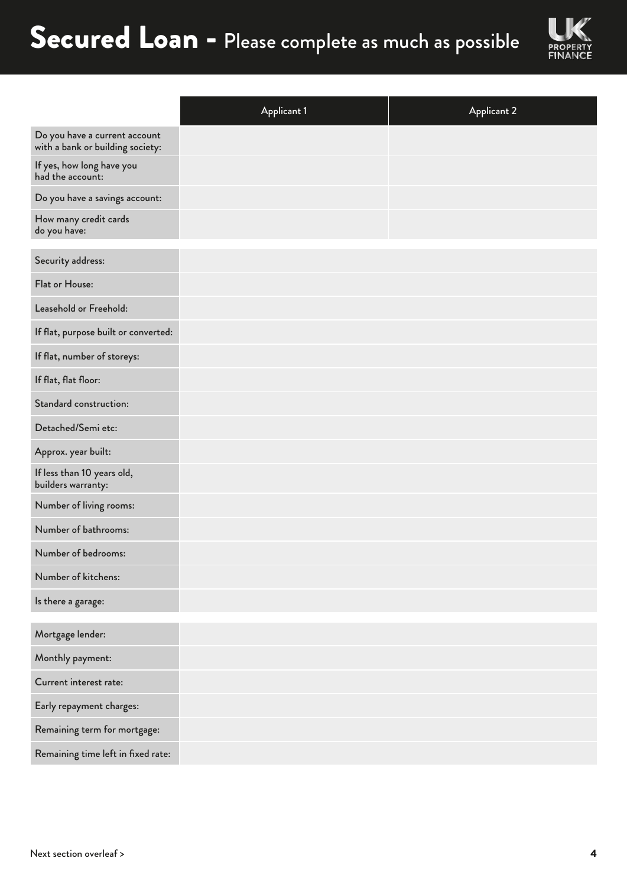

|                                                                   | <b>Applicant 1</b> | <b>Applicant 2</b> |
|-------------------------------------------------------------------|--------------------|--------------------|
| Do you have a current account<br>with a bank or building society: |                    |                    |
| If yes, how long have you<br>had the account:                     |                    |                    |
| Do you have a savings account:                                    |                    |                    |
| How many credit cards<br>do you have:                             |                    |                    |
| Security address:                                                 |                    |                    |
| Flat or House:                                                    |                    |                    |
| Leasehold or Freehold:                                            |                    |                    |
| If flat, purpose built or converted:                              |                    |                    |
| If flat, number of storeys:                                       |                    |                    |
| If flat, flat floor:                                              |                    |                    |
| Standard construction:                                            |                    |                    |
| Detached/Semi etc:                                                |                    |                    |
| Approx. year built:                                               |                    |                    |
| If less than 10 years old,<br>builders warranty:                  |                    |                    |
| Number of living rooms:                                           |                    |                    |
| Number of bathrooms:                                              |                    |                    |
| Number of bedrooms:                                               |                    |                    |
| Number of kitchens:                                               |                    |                    |
| Is there a garage:                                                |                    |                    |
| Mortgage lender:                                                  |                    |                    |
| Monthly payment:                                                  |                    |                    |
| Current interest rate:                                            |                    |                    |
| Early repayment charges:                                          |                    |                    |
| Remaining term for mortgage:                                      |                    |                    |
| Remaining time left in fixed rate:                                |                    |                    |